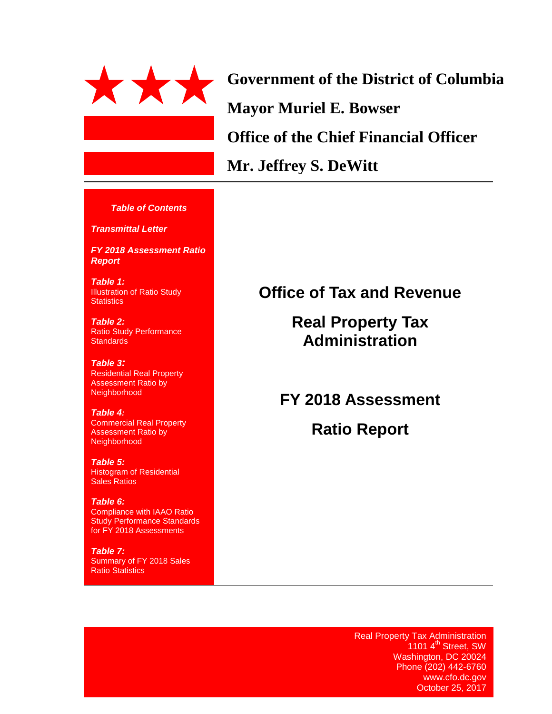

**Government of the District of Columbia Mayor Muriel E. Bowser Office of the Chief Financial Officer Mr. Jeffrey S. DeWitt**

#### *Table of Contents*

*Transmittal Letter*

*FY 2018 Assessment Ratio Report*

*Table 1:* Illustration of Ratio Study **Statistics** 

*Table 2:*  Ratio Study Performance **Standards** 

*Table 3:* Residential Real Property Assessment Ratio by Neighborhood

#### *Table 4:*

Commercial Real Property Assessment Ratio by Neighborhood

*Table 5:* Histogram of Residential Sales Ratios

*Table 6:*  Compliance with IAAO Ratio Study Performance Standards for FY 2018 Assessments

*Table 7:* Summary of FY 2018 Sales Ratio Statistics

# **Office of Tax and Revenue**

**Real Property Tax Administration**

**FY 2018 Assessment**

**Ratio Report**

Real Property Tax Administration 1101 4<sup>th</sup> Street, SW Washington, DC 20024 Phone (202) 442-6760 www.cfo.dc.gov October 25, 2017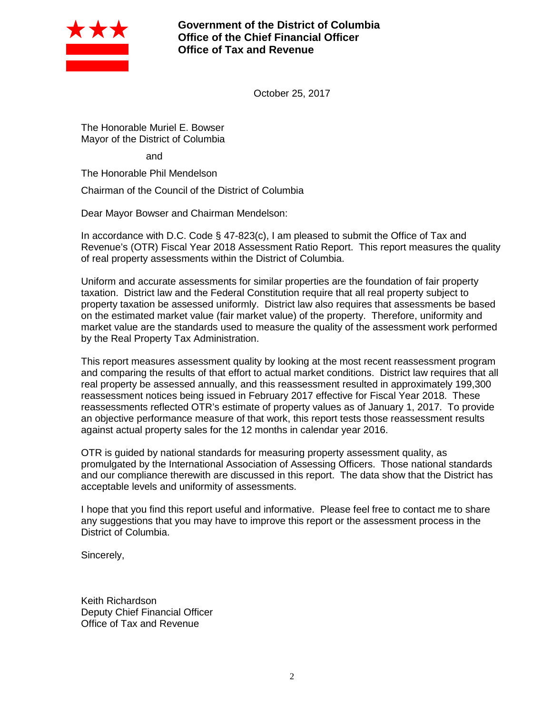

**Government of the District of Columbia Office of the Chief Financial Officer Office of Tax and Revenue**

October 25, 2017

The Honorable Muriel E. Bowser Mayor of the District of Columbia

and

The Honorable Phil Mendelson

Chairman of the Council of the District of Columbia

Dear Mayor Bowser and Chairman Mendelson:

In accordance with D.C. Code § 47-823(c), I am pleased to submit the Office of Tax and Revenue's (OTR) Fiscal Year 2018 Assessment Ratio Report. This report measures the quality of real property assessments within the District of Columbia.

Uniform and accurate assessments for similar properties are the foundation of fair property taxation. District law and the Federal Constitution require that all real property subject to property taxation be assessed uniformly. District law also requires that assessments be based on the estimated market value (fair market value) of the property. Therefore, uniformity and market value are the standards used to measure the quality of the assessment work performed by the Real Property Tax Administration.

This report measures assessment quality by looking at the most recent reassessment program and comparing the results of that effort to actual market conditions. District law requires that all real property be assessed annually, and this reassessment resulted in approximately 199,300 reassessment notices being issued in February 2017 effective for Fiscal Year 2018. These reassessments reflected OTR's estimate of property values as of January 1, 2017. To provide an objective performance measure of that work, this report tests those reassessment results against actual property sales for the 12 months in calendar year 2016.

OTR is guided by national standards for measuring property assessment quality, as promulgated by the International Association of Assessing Officers. Those national standards and our compliance therewith are discussed in this report. The data show that the District has acceptable levels and uniformity of assessments.

I hope that you find this report useful and informative. Please feel free to contact me to share any suggestions that you may have to improve this report or the assessment process in the District of Columbia.

Sincerely,

Keith Richardson Deputy Chief Financial Officer Office of Tax and Revenue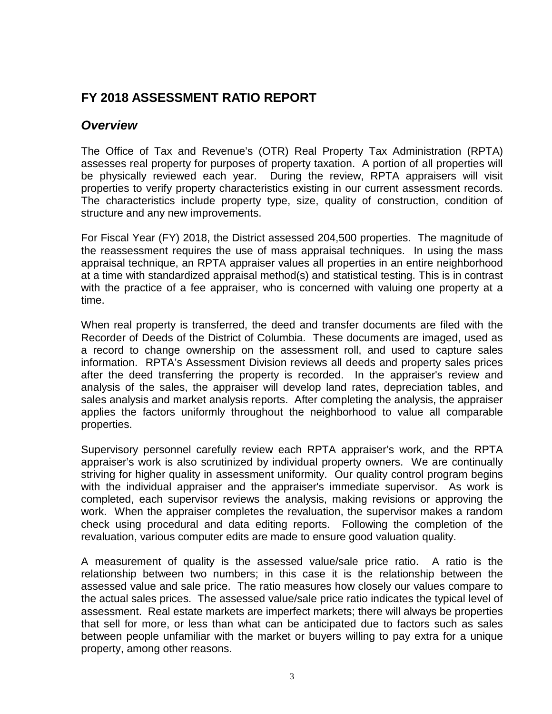# **FY 2018 ASSESSMENT RATIO REPORT**

# *Overview*

The Office of Tax and Revenue's (OTR) Real Property Tax Administration (RPTA) assesses real property for purposes of property taxation. A portion of all properties will be physically reviewed each year. During the review, RPTA appraisers will visit properties to verify property characteristics existing in our current assessment records. The characteristics include property type, size, quality of construction, condition of structure and any new improvements.

For Fiscal Year (FY) 2018, the District assessed 204,500 properties. The magnitude of the reassessment requires the use of mass appraisal techniques. In using the mass appraisal technique, an RPTA appraiser values all properties in an entire neighborhood at a time with standardized appraisal method(s) and statistical testing. This is in contrast with the practice of a fee appraiser, who is concerned with valuing one property at a time.

When real property is transferred, the deed and transfer documents are filed with the Recorder of Deeds of the District of Columbia. These documents are imaged, used as a record to change ownership on the assessment roll, and used to capture sales information. RPTA's Assessment Division reviews all deeds and property sales prices after the deed transferring the property is recorded. In the appraiser's review and analysis of the sales, the appraiser will develop land rates, depreciation tables, and sales analysis and market analysis reports. After completing the analysis, the appraiser applies the factors uniformly throughout the neighborhood to value all comparable properties.

Supervisory personnel carefully review each RPTA appraiser's work, and the RPTA appraiser's work is also scrutinized by individual property owners. We are continually striving for higher quality in assessment uniformity. Our quality control program begins with the individual appraiser and the appraiser's immediate supervisor. As work is completed, each supervisor reviews the analysis, making revisions or approving the work. When the appraiser completes the revaluation, the supervisor makes a random check using procedural and data editing reports. Following the completion of the revaluation, various computer edits are made to ensure good valuation quality.

A measurement of quality is the assessed value/sale price ratio. A ratio is the relationship between two numbers; in this case it is the relationship between the assessed value and sale price. The ratio measures how closely our values compare to the actual sales prices. The assessed value/sale price ratio indicates the typical level of assessment. Real estate markets are imperfect markets; there will always be properties that sell for more, or less than what can be anticipated due to factors such as sales between people unfamiliar with the market or buyers willing to pay extra for a unique property, among other reasons.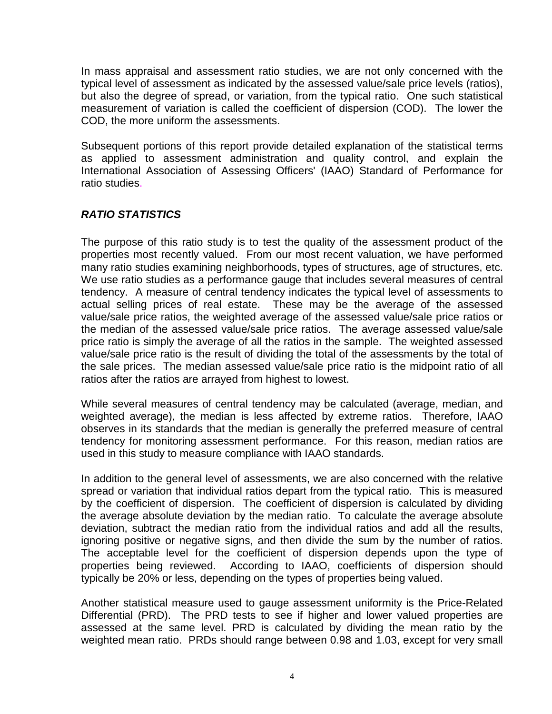In mass appraisal and assessment ratio studies, we are not only concerned with the typical level of assessment as indicated by the assessed value/sale price levels (ratios), but also the degree of spread, or variation, from the typical ratio. One such statistical measurement of variation is called the coefficient of dispersion (COD). The lower the COD, the more uniform the assessments.

Subsequent portions of this report provide detailed explanation of the statistical terms as applied to assessment administration and quality control, and explain the International Association of Assessing Officers' (IAAO) Standard of Performance for ratio studies.

# *RATIO STATISTICS*

The purpose of this ratio study is to test the quality of the assessment product of the properties most recently valued. From our most recent valuation, we have performed many ratio studies examining neighborhoods, types of structures, age of structures, etc. We use ratio studies as a performance gauge that includes several measures of central tendency. A measure of central tendency indicates the typical level of assessments to actual selling prices of real estate. These may be the average of the assessed value/sale price ratios, the weighted average of the assessed value/sale price ratios or the median of the assessed value/sale price ratios. The average assessed value/sale price ratio is simply the average of all the ratios in the sample. The weighted assessed value/sale price ratio is the result of dividing the total of the assessments by the total of the sale prices. The median assessed value/sale price ratio is the midpoint ratio of all ratios after the ratios are arrayed from highest to lowest.

While several measures of central tendency may be calculated (average, median, and weighted average), the median is less affected by extreme ratios. Therefore, IAAO observes in its standards that the median is generally the preferred measure of central tendency for monitoring assessment performance. For this reason, median ratios are used in this study to measure compliance with IAAO standards.

In addition to the general level of assessments, we are also concerned with the relative spread or variation that individual ratios depart from the typical ratio. This is measured by the coefficient of dispersion. The coefficient of dispersion is calculated by dividing the average absolute deviation by the median ratio. To calculate the average absolute deviation, subtract the median ratio from the individual ratios and add all the results, ignoring positive or negative signs, and then divide the sum by the number of ratios. The acceptable level for the coefficient of dispersion depends upon the type of properties being reviewed. According to IAAO, coefficients of dispersion should typically be 20% or less, depending on the types of properties being valued.

Another statistical measure used to gauge assessment uniformity is the Price-Related Differential (PRD). The PRD tests to see if higher and lower valued properties are assessed at the same level. PRD is calculated by dividing the mean ratio by the weighted mean ratio. PRDs should range between 0.98 and 1.03, except for very small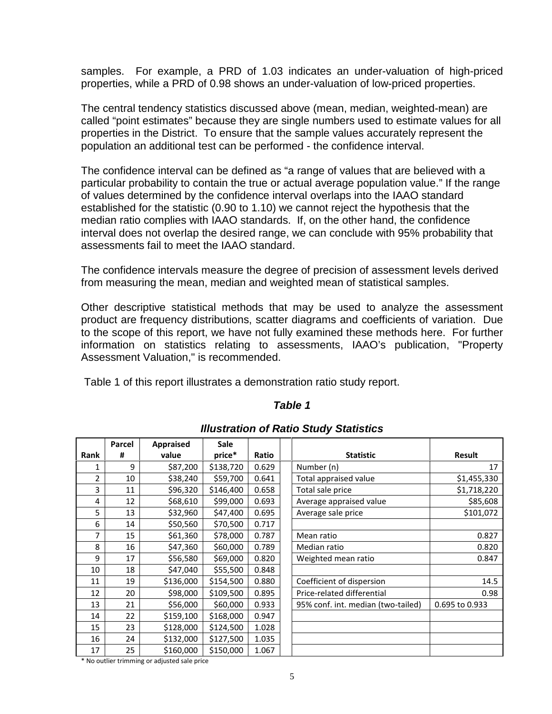samples. For example, a PRD of 1.03 indicates an under-valuation of high-priced properties, while a PRD of 0.98 shows an under-valuation of low-priced properties.

The central tendency statistics discussed above (mean, median, weighted-mean) are called "point estimates" because they are single numbers used to estimate values for all properties in the District. To ensure that the sample values accurately represent the population an additional test can be performed - the confidence interval.

The confidence interval can be defined as "a range of values that are believed with a particular probability to contain the true or actual average population value." If the range of values determined by the confidence interval overlaps into the IAAO standard established for the statistic (0.90 to 1.10) we cannot reject the hypothesis that the median ratio complies with IAAO standards. If, on the other hand, the confidence interval does not overlap the desired range, we can conclude with 95% probability that assessments fail to meet the IAAO standard.

The confidence intervals measure the degree of precision of assessment levels derived from measuring the mean, median and weighted mean of statistical samples.

Other descriptive statistical methods that may be used to analyze the assessment product are frequency distributions, scatter diagrams and coefficients of variation. Due to the scope of this report, we have not fully examined these methods here. For further information on statistics relating to assessments, IAAO's publication, "Property Assessment Valuation," is recommended.

Table 1 of this report illustrates a demonstration ratio study report.

## *Table 1*

|                | Parcel | <b>Appraised</b> | <b>Sale</b> |       |                                    |                |
|----------------|--------|------------------|-------------|-------|------------------------------------|----------------|
| Rank           | #      | value            | price*      | Ratio | <b>Statistic</b>                   | <b>Result</b>  |
| 1              | 9      | \$87,200         | \$138,720   | 0.629 | Number (n)                         | 17             |
| $\overline{2}$ | 10     | \$38,240         | \$59,700    | 0.641 | Total appraised value              | \$1,455,330    |
| 3              | 11     | \$96,320         | \$146,400   | 0.658 | Total sale price                   | \$1,718,220    |
| 4              | 12     | \$68,610         | \$99,000    | 0.693 | Average appraised value            | \$85,608       |
| 5              | 13     | \$32,960         | \$47,400    | 0.695 | Average sale price                 | \$101,072      |
| 6              | 14     | \$50,560         | \$70,500    | 0.717 |                                    |                |
| 7              | 15     | \$61,360         | \$78,000    | 0.787 | Mean ratio                         | 0.827          |
| 8              | 16     | \$47,360         | \$60,000    | 0.789 | Median ratio                       | 0.820          |
| 9              | 17     | \$56,580         | \$69,000    | 0.820 | Weighted mean ratio                | 0.847          |
| 10             | 18     | \$47,040         | \$55,500    | 0.848 |                                    |                |
| 11             | 19     | \$136,000        | \$154,500   | 0.880 | Coefficient of dispersion          | 14.5           |
| 12             | 20     | \$98,000         | \$109,500   | 0.895 | Price-related differential         | 0.98           |
| 13             | 21     | \$56,000         | \$60,000    | 0.933 | 95% conf. int. median (two-tailed) | 0.695 to 0.933 |
| 14             | 22     | \$159,100        | \$168,000   | 0.947 |                                    |                |
| 15             | 23     | \$128,000        | \$124,500   | 1.028 |                                    |                |
| 16             | 24     | \$132,000        | \$127,500   | 1.035 |                                    |                |
| 17             | 25     | \$160,000        | \$150,000   | 1.067 |                                    |                |

## *Illustration of Ratio Study Statistics*

\* No outlier trimming or adjusted sale price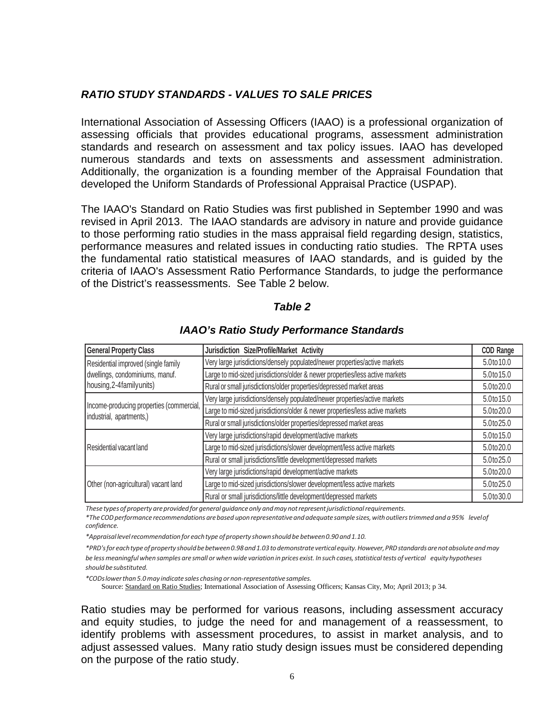## *RATIO STUDY STANDARDS - VALUES TO SALE PRICES*

International Association of Assessing Officers (IAAO) is a professional organization of assessing officials that provides educational programs, assessment administration standards and research on assessment and tax policy issues. IAAO has developed numerous standards and texts on assessments and assessment administration. Additionally, the organization is a founding member of the Appraisal Foundation that developed the Uniform Standards of Professional Appraisal Practice (USPAP).

The IAAO's Standard on Ratio Studies was first published in September 1990 and was revised in April 2013. The IAAO standards are advisory in nature and provide guidance to those performing ratio studies in the mass appraisal field regarding design, statistics, performance measures and related issues in conducting ratio studies. The RPTA uses the fundamental ratio statistical measures of IAAO standards, and is guided by the criteria of IAAO's Assessment Ratio Performance Standards, to judge the performance of the District's reassessments. See Table 2 below.

#### *Table 2*

| <b>General Property Class</b>                                        | Jurisdiction Size/Profile/Market Activity                                     | <b>COD Range</b> |
|----------------------------------------------------------------------|-------------------------------------------------------------------------------|------------------|
| Residential improved (single family                                  | Very large jurisdictions/densely populated/newer properties/active markets    | 5.0to10.0        |
| dwellings, condominiums, manuf.                                      | Large to mid-sized jurisdictions/older & newer properties/less active markets | 5.0to 15.0       |
| housing, 2-4 family units)                                           | Rural or small jurisdictions/older properties/depressed market areas          | 5.0to20.0        |
| Income-producing properties (commercial,<br>industrial, apartments,) | Very large jurisdictions/densely populated/newer properties/active markets    | 5.0to 15.0       |
|                                                                      | Large to mid-sized jurisdictions/older & newer properties/less active markets | 5.0to20.0        |
|                                                                      | Rural or small jurisdictions/older properties/depressed market areas          | 5.0to25.0        |
|                                                                      | Very large jurisdictions/rapid development/active markets                     | 5.0to15.0        |
| Residential vacant land                                              | Large to mid-sized jurisdictions/slower development/less active markets       | 5.0to20.0        |
|                                                                      | Rural or small jurisdictions/little development/depressed markets             | 5.0to25.0        |
|                                                                      | Very large jurisdictions/rapid development/active markets                     | 5.0to20.0        |
| Other (non-agricultural) vacant land                                 | Large to mid-sized jurisdictions/slower development/less active markets       | 5.0to25.0        |
|                                                                      | Rural or small jurisdictions/little development/depressed markets             | 5.0to30.0        |

#### *IAAO's Ratio Study Performance Standards*

*These types ofproperty areprovidedfor general guidanceonly andmay notrepresentjurisdictionalrequirements.*

*\*The CODperformance recommendations arebased uponrepresentativeand adequate sample sizes,withoutlierstrimmedand a95% levelof confidence.*

*\*Appraisallevelrecommendationfor eachtype ofproperty shownshould be between0.90 and1.10.*

*\*PRD'sfor eachtypeofproperty shouldbebetween0.98and1.03todemonstrateverticalequity.However,PRDstandardsarenotabsolute andmay* be less meaningful when samples are small or when wide variation in prices exist. In such cases, statistical tests of vertical equity hypotheses *shouldbesubstituted.*

*\*CODslowerthan 5.0may indicate sales chasing or non-representativesamples.*

Source: Standard on Ratio Studies; International Association of Assessing Officers; Kansas City, Mo; April 2013; p 34.

Ratio studies may be performed for various reasons, including assessment accuracy and equity studies, to judge the need for and management of a reassessment, to identify problems with assessment procedures, to assist in market analysis, and to adjust assessed values. Many ratio study design issues must be considered depending on the purpose of the ratio study.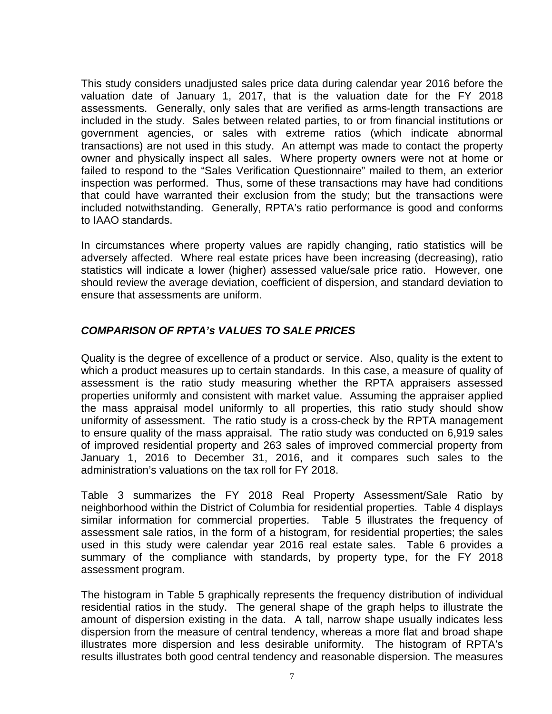This study considers unadjusted sales price data during calendar year 2016 before the valuation date of January 1, 2017, that is the valuation date for the FY 2018 assessments. Generally, only sales that are verified as arms-length transactions are included in the study. Sales between related parties, to or from financial institutions or government agencies, or sales with extreme ratios (which indicate abnormal transactions) are not used in this study. An attempt was made to contact the property owner and physically inspect all sales. Where property owners were not at home or failed to respond to the "Sales Verification Questionnaire" mailed to them, an exterior inspection was performed. Thus, some of these transactions may have had conditions that could have warranted their exclusion from the study; but the transactions were included notwithstanding. Generally, RPTA's ratio performance is good and conforms to IAAO standards.

In circumstances where property values are rapidly changing, ratio statistics will be adversely affected. Where real estate prices have been increasing (decreasing), ratio statistics will indicate a lower (higher) assessed value/sale price ratio. However, one should review the average deviation, coefficient of dispersion, and standard deviation to ensure that assessments are uniform.

## *COMPARISON OF RPTA's VALUES TO SALE PRICES*

Quality is the degree of excellence of a product or service. Also, quality is the extent to which a product measures up to certain standards. In this case, a measure of quality of assessment is the ratio study measuring whether the RPTA appraisers assessed properties uniformly and consistent with market value. Assuming the appraiser applied the mass appraisal model uniformly to all properties, this ratio study should show uniformity of assessment. The ratio study is a cross-check by the RPTA management to ensure quality of the mass appraisal. The ratio study was conducted on 6,919 sales of improved residential property and 263 sales of improved commercial property from January 1, 2016 to December 31, 2016, and it compares such sales to the administration's valuations on the tax roll for FY 2018.

Table 3 summarizes the FY 2018 Real Property Assessment/Sale Ratio by neighborhood within the District of Columbia for residential properties. Table 4 displays similar information for commercial properties. Table 5 illustrates the frequency of assessment sale ratios, in the form of a histogram, for residential properties; the sales used in this study were calendar year 2016 real estate sales. Table 6 provides a summary of the compliance with standards, by property type, for the FY 2018 assessment program.

The histogram in Table 5 graphically represents the frequency distribution of individual residential ratios in the study. The general shape of the graph helps to illustrate the amount of dispersion existing in the data. A tall, narrow shape usually indicates less dispersion from the measure of central tendency, whereas a more flat and broad shape illustrates more dispersion and less desirable uniformity. The histogram of RPTA's results illustrates both good central tendency and reasonable dispersion. The measures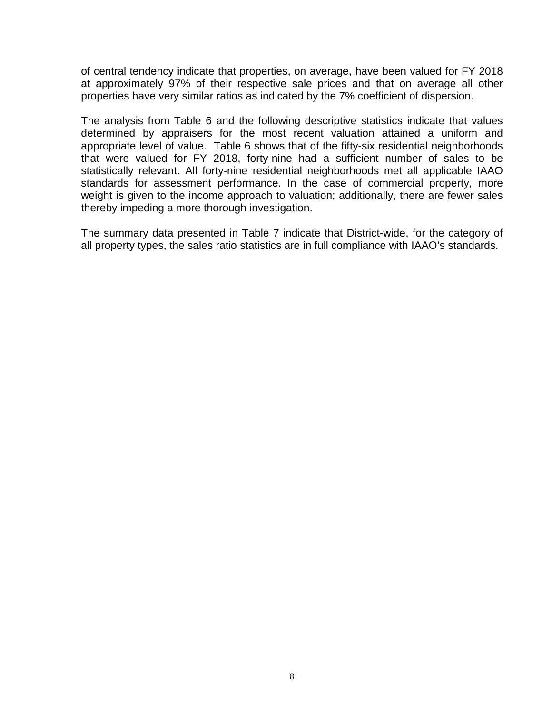of central tendency indicate that properties, on average, have been valued for FY 2018 at approximately 97% of their respective sale prices and that on average all other properties have very similar ratios as indicated by the 7% coefficient of dispersion.

The analysis from Table 6 and the following descriptive statistics indicate that values determined by appraisers for the most recent valuation attained a uniform and appropriate level of value. Table 6 shows that of the fifty-six residential neighborhoods that were valued for FY 2018, forty-nine had a sufficient number of sales to be statistically relevant. All forty-nine residential neighborhoods met all applicable IAAO standards for assessment performance. In the case of commercial property, more weight is given to the income approach to valuation; additionally, there are fewer sales thereby impeding a more thorough investigation.

The summary data presented in Table 7 indicate that District-wide, for the category of all property types, the sales ratio statistics are in full compliance with IAAO's standards.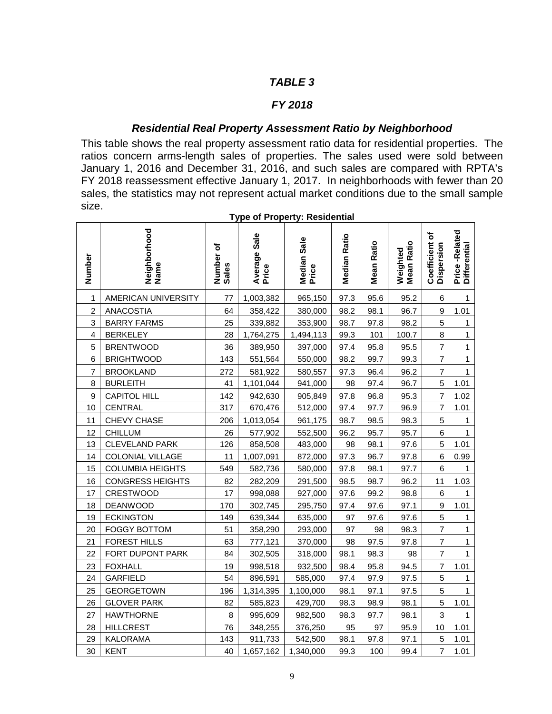### *FY 2018*

### *Residential Real Property Assessment Ratio by Neighborhood*

This table shows the real property assessment ratio data for residential properties. The ratios concern arms-length sales of properties. The sales used were sold between January 1, 2016 and December 31, 2016, and such sales are compared with RPTA's FY 2018 reassessment effective January 1, 2017. In neighborhoods with fewer than 20 sales, the statistics may not represent actual market conditions due to the small sample size.

| Number         | Neighborhood<br>Name    | Number of<br>Sales | Average Sale<br>Price | Median Sale<br>Price | <b>Median Ratio</b> | <b>Mean Ratio</b> | Weighted<br>Mean Ratio | Coefficient of<br>Dispersion | Price-Related<br>Differential |
|----------------|-------------------------|--------------------|-----------------------|----------------------|---------------------|-------------------|------------------------|------------------------------|-------------------------------|
| 1              | AMERICAN UNIVERSITY     | 77                 | 1,003,382             | 965,150              | 97.3                | 95.6              | 95.2                   | 6                            | $\mathbf{1}$                  |
| $\overline{c}$ | <b>ANACOSTIA</b>        | 64                 | 358,422               | 380,000              | 98.2                | 98.1              | 96.7                   | 9                            | 1.01                          |
| 3              | <b>BARRY FARMS</b>      | 25                 | 339,882               | 353,900              | 98.7                | 97.8              | 98.2                   | 5                            | $\mathbf{1}$                  |
| 4              | <b>BERKELEY</b>         | 28                 | 1,764,275             | 1,494,113            | 99.3                | 101               | 100.7                  | 8                            | $\mathbf{1}$                  |
| 5              | <b>BRENTWOOD</b>        | 36                 | 389,950               | 397,000              | 97.4                | 95.8              | 95.5                   | $\overline{7}$               | $\mathbf{1}$                  |
| 6              | <b>BRIGHTWOOD</b>       | 143                | 551,564               | 550,000              | 98.2                | 99.7              | 99.3                   | $\overline{7}$               | $\mathbf{1}$                  |
| $\overline{7}$ | <b>BROOKLAND</b>        | 272                | 581,922               | 580,557              | 97.3                | 96.4              | 96.2                   | $\overline{7}$               | $\mathbf{1}$                  |
| 8              | <b>BURLEITH</b>         | 41                 | 1,101,044             | 941,000              | 98                  | 97.4              | 96.7                   | 5                            | 1.01                          |
| 9              | <b>CAPITOL HILL</b>     | 142                | 942,630               | 905,849              | 97.8                | 96.8              | 95.3                   | $\overline{7}$               | 1.02                          |
| 10             | CENTRAL                 | 317                | 670,476               | 512,000              | 97.4                | 97.7              | 96.9                   | 7                            | 1.01                          |
| 11             | CHEVY CHASE             | 206                | 1,013,054             | 961,175              | 98.7                | 98.5              | 98.3                   | 5                            | 1                             |
| 12             | <b>CHILLUM</b>          | 26                 | 577,902               | 552,500              | 96.2                | 95.7              | 95.7                   | 6                            | $\mathbf{1}$                  |
| 13             | <b>CLEVELAND PARK</b>   | 126                | 858,508               | 483,000              | 98                  | 98.1              | 97.6                   | 5                            | 1.01                          |
| 14             | <b>COLONIAL VILLAGE</b> | 11                 | 1,007,091             | 872,000              | 97.3                | 96.7              | 97.8                   | 6                            | 0.99                          |
| 15             | <b>COLUMBIA HEIGHTS</b> | 549                | 582,736               | 580,000              | 97.8                | 98.1              | 97.7                   | 6                            | $\mathbf{1}$                  |
| 16             | <b>CONGRESS HEIGHTS</b> | 82                 | 282,209               | 291,500              | 98.5                | 98.7              | 96.2                   | 11                           | 1.03                          |
| 17             | <b>CRESTWOOD</b>        | 17                 | 998,088               | 927,000              | 97.6                | 99.2              | 98.8                   | 6                            | 1                             |
| 18             | <b>DEANWOOD</b>         | 170                | 302,745               | 295,750              | 97.4                | 97.6              | 97.1                   | 9                            | 1.01                          |
| 19             | <b>ECKINGTON</b>        | 149                | 639,344               | 635,000              | 97                  | 97.6              | 97.6                   | 5                            | $\mathbf{1}$                  |
| 20             | <b>FOGGY BOTTOM</b>     | 51                 | 358,290               | 293,000              | 97                  | 98                | 98.3                   | $\overline{7}$               | $\mathbf{1}$                  |
| 21             | <b>FOREST HILLS</b>     | 63                 | 777,121               | 370,000              | 98                  | 97.5              | 97.8                   | $\overline{7}$               | $\mathbf{1}$                  |
| 22             | FORT DUPONT PARK        | 84                 | 302,505               | 318,000              | 98.1                | 98.3              | 98                     | $\overline{7}$               | $\mathbf{1}$                  |
| 23             | <b>FOXHALL</b>          | 19                 | 998,518               | 932,500              | 98.4                | 95.8              | 94.5                   | 7                            | 1.01                          |
| 24             | <b>GARFIELD</b>         | 54                 | 896,591               | 585,000              | 97.4                | 97.9              | 97.5                   | 5                            | $\mathbf{1}$                  |
| 25             | <b>GEORGETOWN</b>       | 196                | 1,314,395             | 1,100,000            | 98.1                | 97.1              | 97.5                   | 5                            | $\mathbf{1}$                  |
| 26             | <b>GLOVER PARK</b>      | 82                 | 585,823               | 429,700              | 98.3                | 98.9              | 98.1                   | 5                            | 1.01                          |
| 27             | <b>HAWTHORNE</b>        | 8                  | 995,609               | 982,500              | 98.3                | 97.7              | 98.1                   | $\ensuremath{\mathsf{3}}$    | $\mathbf{1}$                  |
| 28             | <b>HILLCREST</b>        | 76                 | 348,255               | 376,250              | 95                  | 97                | 95.9                   | 10                           | 1.01                          |
| 29             | <b>KALORAMA</b>         | 143                | 911,733               | 542,500              | 98.1                | 97.8              | 97.1                   | 5                            | 1.01                          |
| 30             | <b>KENT</b>             | 40                 | 1,657,162             | 1,340,000            | 99.3                | 100               | 99.4                   | $\overline{7}$               | 1.01                          |

**Type of Property: Residential**<br>
<del>contact</del> in the contact of the contact of the contact of the contact of the contact of the contact of the contact of the contact of the contact of the contact of the contact of the contact

 $\overline{\phantom{0}}$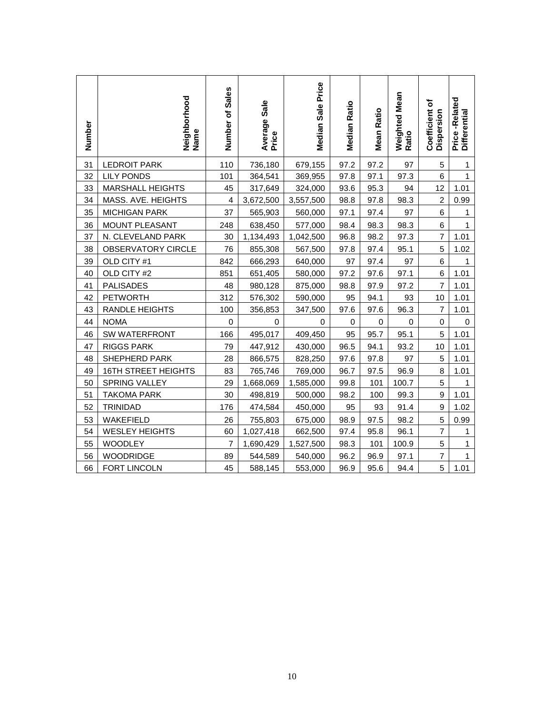| Number | Neighborhood<br>Name       | Number of Sales | Average Sale<br>Price | Median Sale Price | <b>Median Ratio</b> | <b>Mean Ratio</b> | Weighted Mean<br>Ratio | Coefficient of<br>Dispersion | Price-Related<br>Differential |
|--------|----------------------------|-----------------|-----------------------|-------------------|---------------------|-------------------|------------------------|------------------------------|-------------------------------|
| 31     | <b>LEDROIT PARK</b>        | 110             | 736,180               | 679,155           | 97.2                | 97.2              | 97                     | 5                            | 1                             |
| 32     | <b>LILY PONDS</b>          | 101             | 364,541               | 369,955           | 97.8                | 97.1              | 97.3                   | 6                            | $\overline{1}$                |
| 33     | <b>MARSHALL HEIGHTS</b>    | 45              | 317,649               | 324,000           | 93.6                | 95.3              | 94                     | 12                           | 1.01                          |
| 34     | MASS. AVE. HEIGHTS         | $\overline{4}$  | 3,672,500             | 3,557,500         | 98.8                | 97.8              | 98.3                   | $\overline{2}$               | 0.99                          |
| 35     | <b>MICHIGAN PARK</b>       | 37              | 565,903               | 560,000           | 97.1                | 97.4              | 97                     | 6                            | 1                             |
| 36     | <b>MOUNT PLEASANT</b>      | 248             | 638,450               | 577,000           | 98.4                | 98.3              | 98.3                   | 6                            | $\mathbf{1}$                  |
| 37     | N. CLEVELAND PARK          | 30              | 1,134,493             | 1,042,500         | 96.8                | 98.2              | 97.3                   | $\overline{7}$               | 1.01                          |
| 38     | OBSERVATORY CIRCLE         | 76              | 855,308               | 567,500           | 97.8                | 97.4              | 95.1                   | 5                            | 1.02                          |
| 39     | OLD CITY #1                | 842             | 666,293               | 640,000           | 97                  | 97.4              | 97                     | 6                            | $\mathbf{1}$                  |
| 40     | OLD CITY #2                | 851             | 651,405               | 580,000           | 97.2                | 97.6              | 97.1                   | 6                            | 1.01                          |
| 41     | <b>PALISADES</b>           | 48              | 980,128               | 875,000           | 98.8                | 97.9              | 97.2                   | $\overline{7}$               | 1.01                          |
| 42     | <b>PETWORTH</b>            | 312             | 576,302               | 590,000           | 95                  | 94.1              | 93                     | 10                           | 1.01                          |
| 43     | <b>RANDLE HEIGHTS</b>      | 100             | 356,853               | 347,500           | 97.6                | 97.6              | 96.3                   | 7                            | 1.01                          |
| 44     | <b>NOMA</b>                | $\mathsf 0$     | 0                     | 0                 | 0                   | $\mathbf 0$       | $\pmb{0}$              | $\mathbf 0$                  | 0                             |
| 46     | <b>SW WATERFRONT</b>       | 166             | 495,017               | 409,450           | 95                  | 95.7              | 95.1                   | 5                            | 1.01                          |
| 47     | <b>RIGGS PARK</b>          | 79              | 447,912               | 430,000           | 96.5                | 94.1              | 93.2                   | 10                           | 1.01                          |
| 48     | <b>SHEPHERD PARK</b>       | 28              | 866,575               | 828,250           | 97.6                | 97.8              | 97                     | 5                            | 1.01                          |
| 49     | <b>16TH STREET HEIGHTS</b> | 83              | 765,746               | 769,000           | 96.7                | 97.5              | 96.9                   | $\bf 8$                      | 1.01                          |
| 50     | <b>SPRING VALLEY</b>       | 29              | 1,668,069             | 1,585,000         | 99.8                | 101               | 100.7                  | 5                            | 1                             |
| 51     | <b>TAKOMA PARK</b>         | 30              | 498,819               | 500,000           | 98.2                | 100               | 99.3                   | $\boldsymbol{9}$             | 1.01                          |
| 52     | <b>TRINIDAD</b>            | 176             | 474,584               | 450,000           | 95                  | 93                | 91.4                   | 9                            | 1.02                          |
| 53     | WAKEFIELD                  | 26              | 755,803               | 675,000           | 98.9                | 97.5              | 98.2                   | 5                            | 0.99                          |
| 54     | <b>WESLEY HEIGHTS</b>      | 60              | 1,027,418             | 662,500           | 97.4                | 95.8              | 96.1                   | $\overline{7}$               | $\mathbf{1}$                  |
| 55     | <b>WOODLEY</b>             | $\overline{7}$  | 1,690,429             | 1,527,500         | 98.3                | 101               | 100.9                  | 5                            | 1                             |
| 56     | <b>WOODRIDGE</b>           | 89              | 544,589               | 540,000           | 96.2                | 96.9              | 97.1                   | $\overline{7}$               | $\mathbf{1}$                  |
| 66     | FORT LINCOLN               | 45              | 588,145               | 553,000           | 96.9                | 95.6              | 94.4                   | 5                            | 1.01                          |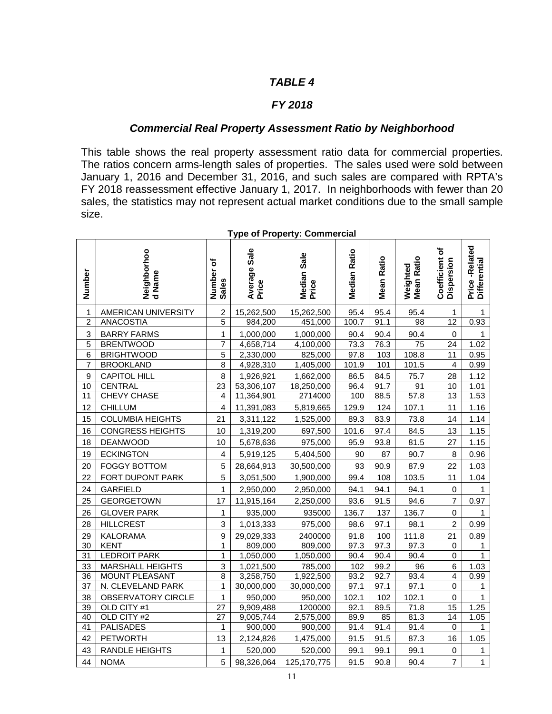#### *FY 2018*

#### *Commercial Real Property Assessment Ratio by Neighborhood*

This table shows the real property assessment ratio data for commercial properties. The ratios concern arms-length sales of properties. The sales used were sold between January 1, 2016 and December 31, 2016, and such sales are compared with RPTA's FY 2018 reassessment effective January 1, 2017. In neighborhoods with fewer than 20 sales, the statistics may not represent actual market conditions due to the small sample size.

| Number                    | Neighborhoo<br>d Name   | ŏ<br>Number<br>Sales | Average Sale<br>Price | Median Sale<br>Price | <b>Median Ratio</b> | <b>Mean Ratio</b> | Weighted<br>Mean Ratio | ৳<br>Coefficient o<br>Dispersion | Price-Related<br>Differential |
|---------------------------|-------------------------|----------------------|-----------------------|----------------------|---------------------|-------------------|------------------------|----------------------------------|-------------------------------|
| 1                         | AMERICAN UNIVERSITY     | $\overline{c}$       | 15,262,500            | 15,262,500           | 95.4                | 95.4              | 95.4                   | 1                                | 1                             |
| $\overline{c}$            | <b>ANACOSTIA</b>        | 5                    | 984,200               | 451,000              | 100.7               | 91.1              | 98                     | 12                               | 0.93                          |
| $\ensuremath{\mathsf{3}}$ | <b>BARRY FARMS</b>      | 1                    | 1,000,000             | 1,000,000            | 90.4                | 90.4              | 90.4                   | 0                                | 1                             |
| $\overline{5}$            | <b>BRENTWOOD</b>        | $\overline{7}$       | 4,658,714             | 4,100,000            | 73.3                | 76.3              | $\overline{75}$        | $\overline{24}$                  | 1.02                          |
| $\,6$                     | <b>BRIGHTWOOD</b>       | 5                    | 2,330,000             | 825,000              | 97.8                | 103               | 108.8                  | 11                               | 0.95                          |
| 7                         | <b>BROOKLAND</b>        | 8                    | 4,928,310             | 1,405,000            | 101.9               | 101               | 101.5                  | $\overline{4}$                   | 0.99                          |
| 9                         | <b>CAPITOL HILL</b>     | 8                    | 1,926,921             | 1,662,000            | 86.5                | 84.5              | 75.7                   | 28                               | 1.12                          |
| 10                        | <b>CENTRAL</b>          | 23                   | 53,306,107            | 18,250,000           | 96.4                | 91.7              | 91                     | 10                               | 1.01                          |
| 11                        | CHEVY CHASE             | 4                    | 11,364,901            | 2714000              | 100                 | 88.5              | 57.8                   | 13                               | 1.53                          |
| 12                        | <b>CHILLUM</b>          | 4                    | 11,391,083            | 5,819,665            | 129.9               | 124               | 107.1                  | 11                               | 1.16                          |
| 15                        | <b>COLUMBIA HEIGHTS</b> | 21                   | 3,311,122             | 1,525,000            | 89.3                | 83.9              | 73.8                   | 14                               | 1.14                          |
| 16                        | <b>CONGRESS HEIGHTS</b> | 10                   | 1,319,200             | 697,500              | 101.6               | 97.4              | 84.5                   | 13                               | 1.15                          |
| 18                        | <b>DEANWOOD</b>         | 10                   | 5,678,636             | 975,000              | 95.9                | 93.8              | 81.5                   | 27                               | 1.15                          |
| 19                        | <b>ECKINGTON</b>        | 4                    | 5,919,125             | 5,404,500            | 90                  | 87                | 90.7                   | 8                                | 0.96                          |
| 20                        | <b>FOGGY BOTTOM</b>     | 5                    | 28,664,913            | 30,500,000           | 93                  | 90.9              | 87.9                   | 22                               | 1.03                          |
| 22                        | FORT DUPONT PARK        | 5                    | 3,051,500             | 1,900,000            | 99.4                | 108               | 103.5                  | 11                               | 1.04                          |
| 24                        | <b>GARFIELD</b>         | 1                    | 2,950,000             | 2,950,000            | 94.1                | 94.1              | 94.1                   | 0                                | 1                             |
| 25                        | <b>GEORGETOWN</b>       | 17                   | 11,915,164            | 2,250,000            | 93.6                | 91.5              | 94.6                   | $\overline{7}$                   | 0.97                          |
| 26                        | <b>GLOVER PARK</b>      | $\mathbf 1$          | 935,000               | 935000               | 136.7               | 137               | 136.7                  | 0                                | 1                             |
| 28                        | <b>HILLCREST</b>        | 3                    | 1,013,333             | 975,000              | 98.6                | 97.1              | 98.1                   | $\overline{a}$                   | 0.99                          |
| 29                        | <b>KALORAMA</b>         | $\mathsf g$          | 29,029,333            | 2400000              | 91.8                | 100               | 111.8                  | 21                               | 0.89                          |
| 30                        | <b>KENT</b>             | 1                    | 809,000               | 809,000              | 97.3                | 97.3              | 97.3                   | 0                                | 1                             |
| 31                        | <b>LEDROIT PARK</b>     | 1                    | 1,050,000             | 1,050,000            | 90.4                | 90.4              | 90.4                   | $\pmb{0}$                        | $\mathbf{1}$                  |
| 33                        | <b>MARSHALL HEIGHTS</b> | $\,$ 3 $\,$          | 1,021,500             | 785,000              | 102                 | 99.2              | 96                     | 6                                | 1.03                          |
| $\overline{36}$           | <b>MOUNT PLEASANT</b>   | $\overline{8}$       | 3,258,750             | 1,922,500            | 93.2                | 92.7              | 93.4                   | $\overline{4}$                   | 0.99                          |
| 37                        | N. CLEVELAND PARK       | 1                    | 30,000,000            | 30,000,000           | 97.1                | 97.1              | 97.1                   | 0                                | 1                             |
| 38                        | OBSERVATORY CIRCLE      | 1                    | 950,000               | 950,000              | 102.1               | 102               | 102.1                  | 0                                | $\mathbf{1}$                  |
| $\overline{39}$           | OLD CITY #1             | 27                   | 9,909,488             | 1200000              | 92.1                | 89.5              | 71.8                   | 15                               | 1.25                          |
| 40                        | OLD CITY #2             | 27                   | 9,005,744             | 2,575,000            | 89.9                | 85                | 81.3                   | 14                               | 1.05                          |
| 41                        | <b>PALISADES</b>        | $\mathbf{1}$         | 900,000               | 900,000              | 91.4                | 91.4              | 91.4                   | $\pmb{0}$                        | $\mathbf{1}$                  |
| 42                        | <b>PETWORTH</b>         | 13                   | 2,124,826             | 1,475,000            | 91.5                | 91.5              | 87.3                   | 16                               | 1.05                          |
| 43                        | <b>RANDLE HEIGHTS</b>   | 1                    | 520,000               | 520,000              | 99.1                | 99.1              | 99.1                   | 0                                | 1                             |
| 44                        | <b>NOMA</b>             | 5                    | 98,326,064            | 125, 170, 775        | 91.5                | 90.8              | 90.4                   | $\overline{7}$                   | $\mathbf{1}$                  |

#### **Type of Property: Commercial**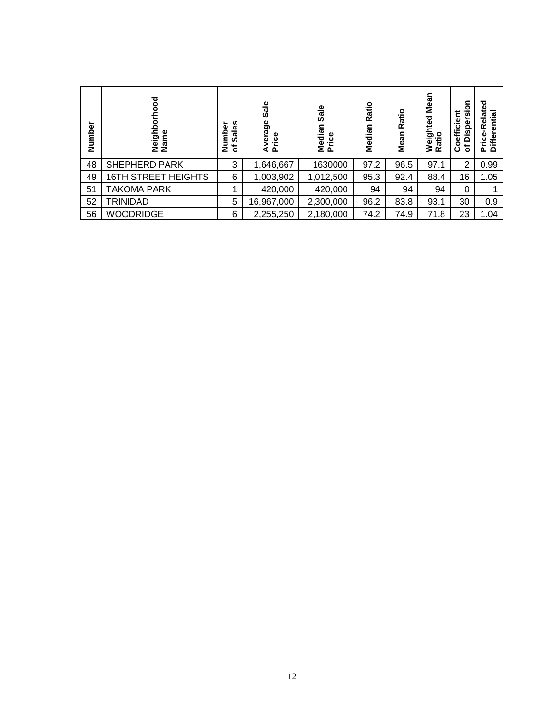| Number | ਠ<br>Neighb<br>Name        | Sales<br>umber<br>৳<br>z | Sale<br>verage<br>Avera<br>Price | Sale<br>Median<br>Price | Ratio<br>c<br>Mediar | Ratio<br>Mean | <b>Mean</b><br>Weighted<br>ੁੰ<br>ਛ<br>œ | sion<br>ត្ថ<br>Disper:<br>ā<br>oeffi<br>৳<br>ပ | Related<br>ntial<br>₫<br>Price-I<br>Differ |
|--------|----------------------------|--------------------------|----------------------------------|-------------------------|----------------------|---------------|-----------------------------------------|------------------------------------------------|--------------------------------------------|
| 48     | <b>SHEPHERD PARK</b>       | 3                        | 1,646,667                        | 1630000                 | 97.2                 | 96.5          | 97.1                                    | 2                                              | 0.99                                       |
| 49     | <b>16TH STREET HEIGHTS</b> | 6                        | 1,003,902                        | 1,012,500               | 95.3                 | 92.4          | 88.4                                    | 16                                             | 1.05                                       |
| 51     | TAKOMA PARK                |                          | 420,000                          | 420,000                 | 94                   | 94            | 94                                      | 0                                              |                                            |
| 52     | TRINIDAD                   | 5                        | 16,967,000                       | 2,300,000               | 96.2                 | 83.8          | 93.1                                    | 30                                             | 0.9                                        |
| 56     | <b>WOODRIDGE</b>           | 6                        | 2,255,250                        | 2,180,000               | 74.2                 | 74.9          | 71.8                                    | 23                                             | 1.04                                       |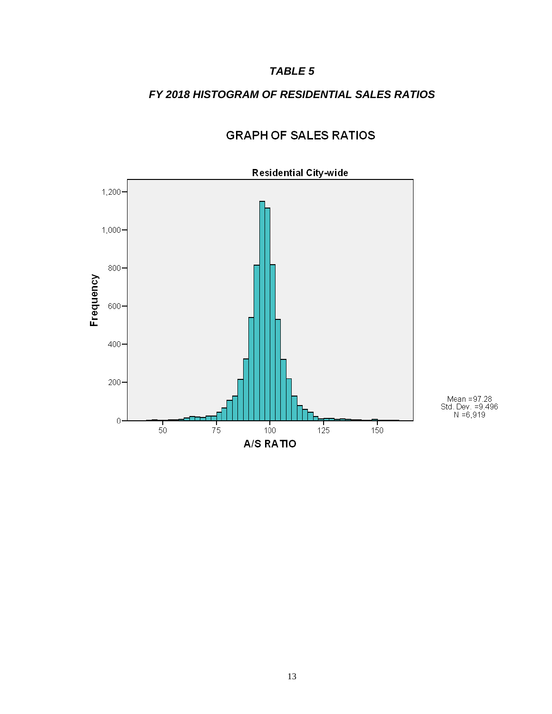## *FY 2018 HISTOGRAM OF RESIDENTIAL SALES RATIOS*



# **GRAPH OF SALES RATIOS**

Mean =97.28<br>Std. Dev. =9.496<br>N =6,919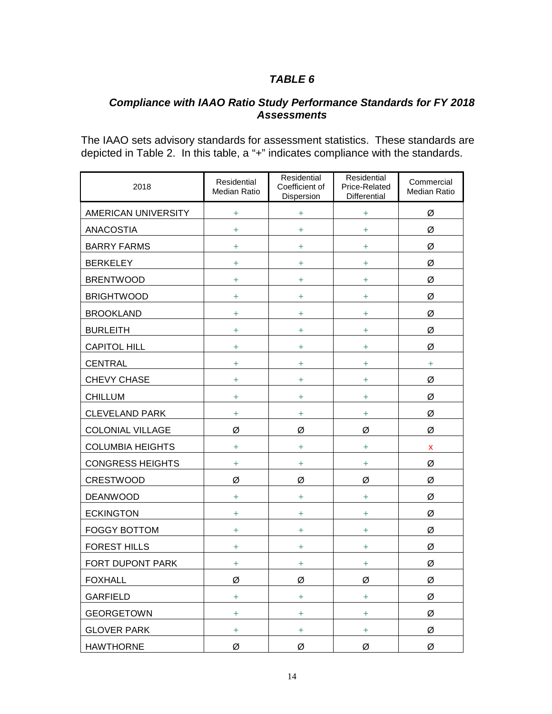# *Compliance with IAAO Ratio Study Performance Standards for FY 2018 Assessments*

The IAAO sets advisory standards for assessment statistics. These standards are depicted in Table 2. In this table, a "+" indicates compliance with the standards.

| 2018                    | Residential<br>Median Ratio | Residential<br>Coefficient of<br>Dispersion | Residential<br>Price-Related<br>Differential | Commercial<br><b>Median Ratio</b> |
|-------------------------|-----------------------------|---------------------------------------------|----------------------------------------------|-----------------------------------|
| AMERICAN UNIVERSITY     | Ŧ                           | ÷                                           | $\ddot{}$                                    | Ø                                 |
| <b>ANACOSTIA</b>        | Ŧ                           | ÷                                           | $\ddot{}$                                    | Ø                                 |
| <b>BARRY FARMS</b>      | Ŧ                           | ÷                                           | ÷                                            | Ø                                 |
| <b>BERKELEY</b>         | ÷                           | ÷                                           | ÷                                            | Ø                                 |
| <b>BRENTWOOD</b>        | ÷                           | ÷                                           | ÷                                            | Ø                                 |
| <b>BRIGHTWOOD</b>       | ÷                           | ÷                                           | ÷                                            | Ø                                 |
| <b>BROOKLAND</b>        | ÷                           | ÷                                           | ÷                                            | Ø                                 |
| <b>BURLEITH</b>         | ÷                           | ÷                                           | ÷                                            | Ø                                 |
| <b>CAPITOL HILL</b>     | ÷                           | ÷                                           | ÷                                            | Ø                                 |
| <b>CENTRAL</b>          | ÷                           | ÷                                           | ÷                                            | ÷                                 |
| <b>CHEVY CHASE</b>      | ÷                           | ÷                                           | ÷                                            | Ø                                 |
| <b>CHILLUM</b>          | ÷                           | ÷                                           | ÷                                            | Ø                                 |
| <b>CLEVELAND PARK</b>   | Ŧ                           | ÷                                           | $\ddot{}$                                    | Ø                                 |
| <b>COLONIAL VILLAGE</b> | Ø                           | Ø                                           | Ø                                            | Ø                                 |
| <b>COLUMBIA HEIGHTS</b> | Ŧ                           | ÷                                           | $\ddot{}$                                    | X                                 |
| <b>CONGRESS HEIGHTS</b> | ÷                           | ÷                                           | $\ddot{}$                                    | Ø                                 |
| <b>CRESTWOOD</b>        | Ø                           | Ø                                           | Ø                                            | Ø                                 |
| <b>DEANWOOD</b>         | ÷                           | ÷                                           | ÷                                            | Ø                                 |
| <b>ECKINGTON</b>        | ÷                           | ÷                                           | ÷                                            | Ø                                 |
| <b>FOGGY BOTTOM</b>     | ÷                           | ÷                                           | ÷                                            | Ø                                 |
| <b>FOREST HILLS</b>     | ÷                           | ÷                                           | ÷                                            | Ø                                 |
| FORT DUPONT PARK        | ÷                           | ÷                                           | ÷                                            | Ø                                 |
| <b>FOXHALL</b>          | Ø                           | Ø                                           | Ø                                            | Ø                                 |
| <b>GARFIELD</b>         | Ŧ                           | $\ddot{}$                                   | $\ddot{}$                                    | Ø                                 |
| <b>GEORGETOWN</b>       | $\ddot{}$                   | $\ddot{}$                                   | $\ddot{}$                                    | Ø                                 |
| <b>GLOVER PARK</b>      | Ŧ                           | $\ddot{}$                                   | $\ddot{}$                                    | Ø                                 |
| <b>HAWTHORNE</b>        | Ø                           | Ø                                           | Ø                                            | Ø                                 |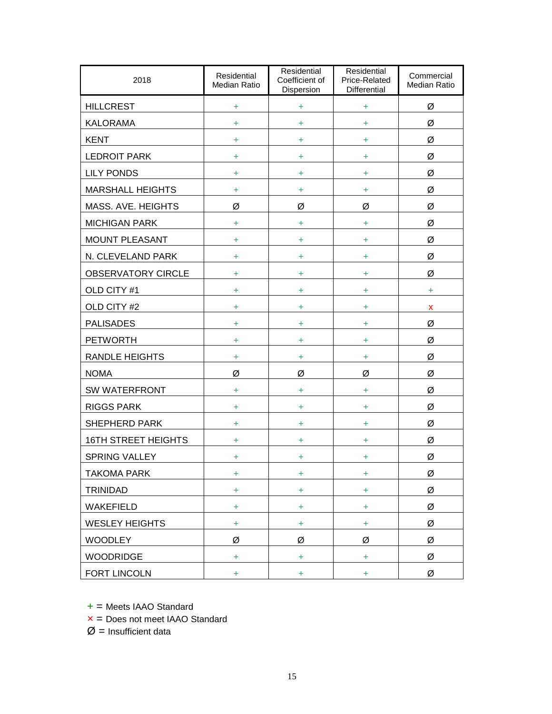| 2018                       | Residential<br>Median Ratio | Residential<br>Coefficient of<br>Dispersion | Residential<br>Price-Related<br>Differential | Commercial<br>Median Ratio |  |
|----------------------------|-----------------------------|---------------------------------------------|----------------------------------------------|----------------------------|--|
| <b>HILLCREST</b>           | ÷                           | $\ddot{}$                                   | $\ddot{}$                                    | Ø                          |  |
| <b>KALORAMA</b>            | ÷                           | ÷                                           | ÷                                            | Ø                          |  |
| <b>KENT</b>                | +                           | ÷                                           | ÷                                            | Ø                          |  |
| <b>LEDROIT PARK</b>        | ÷                           | ÷                                           | ÷                                            | Ø                          |  |
| <b>LILY PONDS</b>          | ÷                           | +                                           | ÷                                            | Ø                          |  |
| <b>MARSHALL HEIGHTS</b>    | Ŧ                           | +                                           | ÷                                            | Ø                          |  |
| MASS. AVE. HEIGHTS         | Ø                           | Ø                                           | Ø                                            | Ø                          |  |
| <b>MICHIGAN PARK</b>       | $\ddot{}$                   | ÷                                           | ÷                                            | Ø                          |  |
| <b>MOUNT PLEASANT</b>      | $\ddot{}$                   | ÷                                           | ÷                                            | Ø                          |  |
| N. CLEVELAND PARK          | ÷                           | +                                           | ÷                                            | Ø                          |  |
| <b>OBSERVATORY CIRCLE</b>  | ÷                           | ÷                                           | ÷                                            | Ø                          |  |
| OLD CITY #1                | ÷                           | +                                           | ÷                                            | ÷                          |  |
| OLD CITY #2                | ÷                           | ÷                                           | ÷                                            | X                          |  |
| <b>PALISADES</b>           | +                           | ÷                                           | ÷                                            | Ø                          |  |
| <b>PETWORTH</b>            | +                           | ÷                                           | ÷                                            | Ø                          |  |
| <b>RANDLE HEIGHTS</b>      | +                           | ÷                                           | ÷                                            | Ø                          |  |
| <b>NOMA</b>                | Ø                           | Ø                                           | Ø                                            | Ø                          |  |
| SW WATERFRONT              | ÷                           | +                                           | ÷                                            | Ø                          |  |
| <b>RIGGS PARK</b>          | Ŧ                           | ÷                                           | ÷                                            | Ø                          |  |
| <b>SHEPHERD PARK</b>       | $\ddot{}$                   | ÷                                           | ÷                                            | Ø                          |  |
| <b>16TH STREET HEIGHTS</b> | ÷                           | ÷                                           | ÷                                            | Ø                          |  |
| <b>SPRING VALLEY</b>       | ÷                           | ÷                                           | ÷                                            | Ø                          |  |
| TAKOMA PARK                | ÷                           | ÷                                           | ÷.                                           | Ø                          |  |
| <b>TRINIDAD</b>            | ÷                           | ÷                                           | ÷                                            | Ø                          |  |
| WAKEFIELD                  | ÷                           | ÷.                                          | ÷                                            | Ø                          |  |
| <b>WESLEY HEIGHTS</b>      | ÷                           | ÷                                           | $\ddot{}$                                    | Ø                          |  |
| <b>WOODLEY</b>             | Ø                           | Ø                                           | Ø                                            | Ø                          |  |
| <b>WOODRIDGE</b>           | ÷                           | $+$                                         | $\ddot{}$                                    | Ø                          |  |
| FORT LINCOLN               | $\ddot{}$                   | ÷                                           | ÷                                            | Ø                          |  |

 $+$  = Meets IAAO Standard

 $x =$  Does not meet IAAO Standard

 $Ø$  = Insufficient data